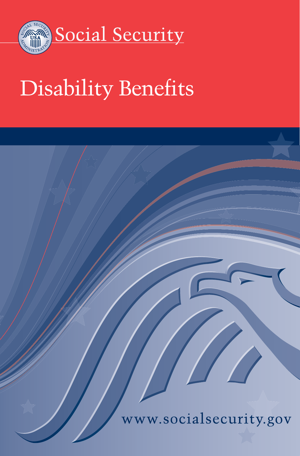

# Disability Benefits

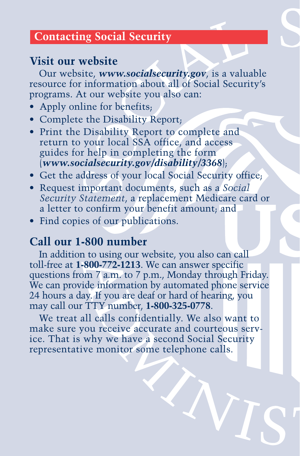## **Contacting Social Security**

## **Visit our website**

Our website, *<www.socialsecurity.gov>*, is a valuable resource for information about all of Social Security's programs. At our website you also can:

- Apply online for benefits;
- Complete the Disability Report;
- Print the Disability Report to complete and return to your local SSA office, and access guides for help in completing the form (*<www.socialsecurity.gov/disability/3368>*);
- Get the address of your local Social Security office;
- Request important documents, such as a *Social Security Statement*, a replacement Medicare card or a letter to confirm your benefit amount; and
- Find copies of our publications.

## **Call our 1-800 number**

In addition to using our website, you also can call toll-free at **1-800-772-1213**. We can answer specific questions from 7 a.m. to 7 p.m., Monday through Friday. We can provide information by automated phone service 24 hours a day. If you are deaf or hard of hearing, you may call our TTY number, **1-800-325-0778**.

We treat all calls confidentially. We also want to make sure you receive accurate and courteous service. That is why we have a second Social Security representative monitor some telephone calls.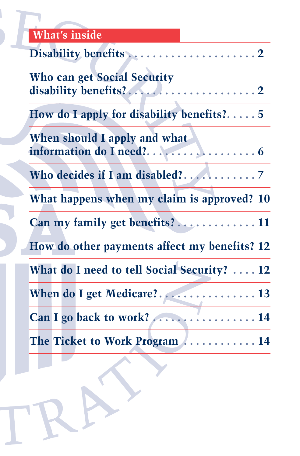## **What's inside**

|  | <b>Who can get Social Security</b>           |  |
|--|----------------------------------------------|--|
|  | How do I apply for disability benefits? $5$  |  |
|  | When should I apply and what                 |  |
|  |                                              |  |
|  | What happens when my claim is approved? 10   |  |
|  |                                              |  |
|  | How do other payments affect my benefits? 12 |  |
|  | What do I need to tell Social Security?  12  |  |
|  |                                              |  |
|  | Can I go back to work?  14                   |  |
|  | The Ticket to Work Program  14               |  |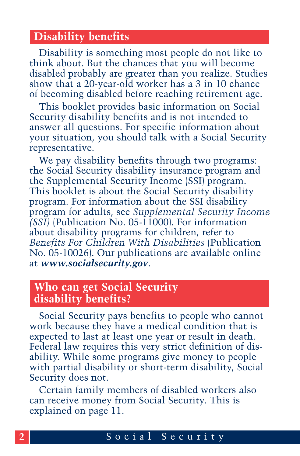#### **Disability benefits**

Disability is something most people do not like to think about. But the chances that you will become disabled probably are greater than you realize. Studies show that a 20-year-old worker has a 3 in 10 chance of becoming disabled before reaching retirement age.

This booklet provides basic information on Social Security disability benefits and is not intended to answer all questions. For specific information about your situation, you should talk with a Social Security representative.

We pay disability benefits through two programs: the Social Security disability insurance program and the Supplemental Security Income (SSI) program. This booklet is about the Social Security disability program. For information about the SSI disability program for adults, see *Supplemental Security Income (SSI)* [\(Publication No. 05-11000\). For information](http://www.socialsecurity.gov/pubs/11000.html) about disability programs for children, refer to *Benefits For Children With Disabilities* (Publication [No. 05-10026\). Our publications are avai](http://www.socialsecurity.gov/pubs/10026.html)lable online at *www.socialsecurity.gov*.

#### **Who can get Social Security disability benefits?**

Social Security pays benefits to people who cannot work because they have a medical condition that is expected to last at least one year or result in death. Federal law requires this very strict definition of disability. While some programs give money to people with partial disability or short-term disability, Social Security does not.

Certain family members of disabled workers also can receive money from Social Security. This is explained on page 11.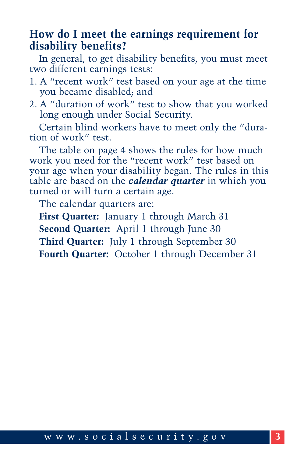#### **How do I meet the earnings requirement for disability benefits?**

In general, to get disability benefits, you must meet two different earnings tests:

- 1. A "recent work" test based on your age at the time you became disabled; and
- 2. A "duration of work" test to show that you worked long enough under Social Security.

Certain blind workers have to meet only the "duration of work" test.

The table on page 4 shows the rules for how much work you need for the "recent work" test based on your age when your disability began. The rules in this table are based on the *calendar quarter* in which you turned or will turn a certain age.

The calendar quarters are:

**First Quarter:** January 1 through March 31 **Second Quarter:** April 1 through June 30 **Third Quarter:** July 1 through September 30 **Fourth Quarter:** October 1 through December 31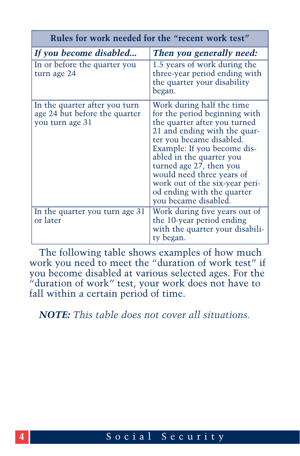| Rules for work needed for the "recent work test"                                  |                                                                                                                                                                                                                                                                                                                                                                   |  |
|-----------------------------------------------------------------------------------|-------------------------------------------------------------------------------------------------------------------------------------------------------------------------------------------------------------------------------------------------------------------------------------------------------------------------------------------------------------------|--|
| If you become disabled                                                            | Then you generally need:                                                                                                                                                                                                                                                                                                                                          |  |
| In or before the quarter you<br>turn age 24                                       | 1.5 years of work during the<br>three-year period ending with<br>the quarter your disability<br>began.                                                                                                                                                                                                                                                            |  |
| In the quarter after you turn<br>age 24 but before the quarter<br>you turn age 31 | Work during half the time<br>for the period beginning with<br>the quarter after you turned<br>21 and ending with the quar-<br>ter you became disabled.<br>Example: If you become dis-<br>abled in the quarter you<br>turned age 27, then you<br>would need three years of<br>work out of the six-year peri-<br>od ending with the quarter<br>you became disabled. |  |
| In the quarter you turn age 31<br>or later                                        | Work during five years out of<br>the 10-year period ending<br>with the quarter your disabili-<br>ty began.                                                                                                                                                                                                                                                        |  |

The following table shows examples of how much work you need to meet the "duration of work test" if you become disabled at various selected ages. For the "duration of work" test, your work does not have to fall within a certain period of time.

*NOTE: This table does not cover all situations.*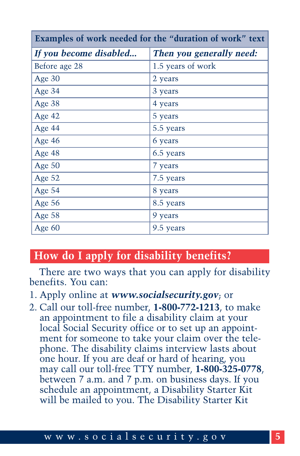| Examples of work needed for the "duration of work" text |                          |  |
|---------------------------------------------------------|--------------------------|--|
| If you become disabled                                  | Then you generally need: |  |
| Before age 28                                           | 1.5 years of work        |  |
| Age 30                                                  | 2 years                  |  |
| Age 34                                                  | 3 years                  |  |
| Age 38                                                  | 4 years                  |  |
| Age 42                                                  | 5 years                  |  |
| Age 44                                                  | 5.5 years                |  |
| Age 46                                                  | 6 years                  |  |
| Age 48                                                  | 6.5 years                |  |
| Age 50                                                  | 7 years                  |  |
| Age 52                                                  | 7.5 years                |  |
| Age 54                                                  | 8 years                  |  |
| Age 56                                                  | 8.5 years                |  |
| Age 58                                                  | 9 years                  |  |
| Age 60                                                  | 9.5 years                |  |

## **How do I apply for disability benefits?**

There are two ways that you can apply for disability benefits. You can:

- 1. Apply online at *<www.socialsecurity.gov>*; or
- 2. Call our toll-free number, **1-800-772-1213**, to make an appointment to file a disability claim at your local Social Security office or to set up an appointment for someone to take your claim over the telephone. The disability claims interview lasts about one hour. If you are deaf or hard of hearing, you may call our toll-free TTY number, **1-800-325-0778**, between 7 a.m. and 7 p.m. on business days. If you schedule an appointment, a Disability Starter Kit will be mailed to you. The Disability Starter Kit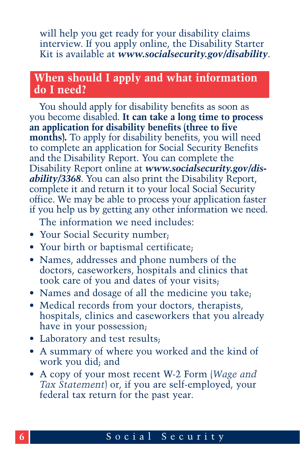will help you get ready for your disability claims interview. If you apply online, the Disability Starter Kit is available at *<www.socialsecurity.gov/disability>*.

## **When should I apply and what information do I need?**

You should apply for disability benefits as soon as you become disabled. **It can take a long time to process an application for disability benefits (three to five months).** To apply for disability benefits, you will need to complete an application for Social Security Benefits and the Disability Report. You can complete the Disability Report online at *www.socialsecurity.gov/disability/3368*[. You can also print the Disability Report,](www.socialsecurity.gov/disability/3368) complete it and return it to your local Social Security office. We may be able to process your application faster if you help us by getting any other information we need.

The information we need includes:

- Your Social Security number;
- Your birth or baptismal certificate;
- Names, addresses and phone numbers of the doctors, caseworkers, hospitals and clinics that took care of you and dates of your visits;
- Names and dosage of all the medicine you take;
- Medical records from your doctors, therapists, hospitals, clinics and caseworkers that you already have in your possession;
- Laboratory and test results;
- A summary of where you worked and the kind of work you did; and
- A copy of your most recent W-2 Form (*Wage and Tax Statement*) or, if you are self-employed, your federal tax return for the past year.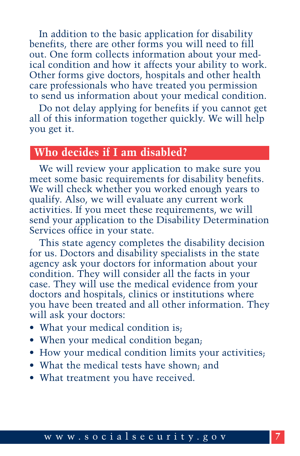In addition to the basic application for disability benefits, there are other forms you will need to fill out. One form collects information about your medical condition and how it affects your ability to work. Other forms give doctors, hospitals and other health care professionals who have treated you permission to send us information about your medical condition.

Do not delay applying for benefits if you cannot get all of this information together quickly. We will help you get it.

## **Who decides if I am disabled?**

We will review your application to make sure you meet some basic requirements for disability benefits. We will check whether you worked enough years to qualify. Also, we will evaluate any current work activities. If you meet these requirements, we will send your application to the Disability Determination Services office in your state.

This state agency completes the disability decision for us. Doctors and disability specialists in the state agency ask your doctors for information about your condition. They will consider all the facts in your case. They will use the medical evidence from your doctors and hospitals, clinics or institutions where you have been treated and all other information. They will ask your doctors:

- What your medical condition is;
- When your medical condition began;
- How your medical condition limits your activities;
- What the medical tests have shown; and
- What treatment you have received.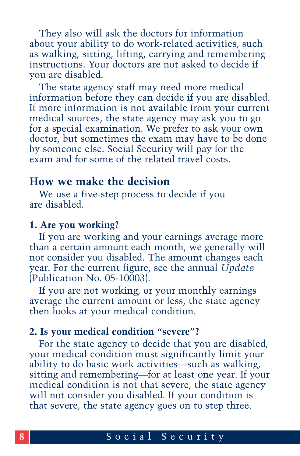They also will ask the doctors for information about your ability to do work-related activities, such as walking, sitting, lifting, carrying and remembering instructions. Your doctors are not asked to decide if you are disabled.

The state agency staff may need more medical information before they can decide if you are disabled. If more information is not available from your current medical sources, the state agency may ask you to go for a special examination. We prefer to ask your own doctor, but sometimes the exam may have to be done by someone else. Social Security will pay for the exam and for some of the related travel costs.

#### **How we make the decision**

We use a five-step process to decide if you are disabled.

#### **1. Are you working?**

If you are working and your earnings average more than a certain amount each month, we generally will not consider you disabled. The amount changes each [year. For the current figure, see the annual](http://www.socialsecurity.gov/pubs/10003.html) *Update* (Publication No. 05-10003).

If you are not working, or your monthly earnings average the current amount or less, the state agency then looks at your medical condition.

#### **2. Is your medical condition "severe"?**

For the state agency to decide that you are disabled, your medical condition must significantly limit your ability to do basic work activities—such as walking, sitting and remembering—for at least one year. If your medical condition is not that severe, the state agency will not consider you disabled. If your condition is that severe, the state agency goes on to step three.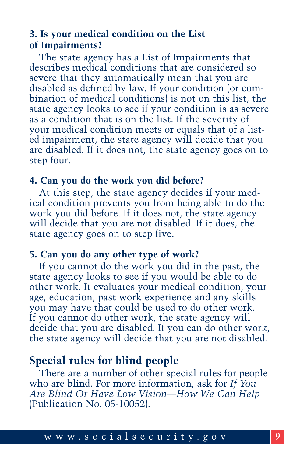#### **3. Is your medical condition on the List of Impairments?**

The state agency has a List of Impairments that describes medical conditions that are considered so severe that they automatically mean that you are disabled as defined by law. If your condition (or combination of medical conditions) is not on this list, the state agency looks to see if your condition is as severe as a condition that is on the list. If the severity of your medical condition meets or equals that of a listed impairment, the state agency will decide that you are disabled. If it does not, the state agency goes on to step four.

#### **4. Can you do the work you did before?**

At this step, the state agency decides if your medical condition prevents you from being able to do the work you did before. If it does not, the state agency will decide that you are not disabled. If it does, the state agency goes on to step five.

#### **5. Can you do any other type of work?**

If you cannot do the work you did in the past, the state agency looks to see if you would be able to do other work. It evaluates your medical condition, your age, education, past work experience and any skills you may have that could be used to do other work. If you cannot do other work, the state agency will decide that you are disabled. If you can do other work, the state agency will decide that you are not disabled.

## **Special rules for blind people**

There are a number of other special rules for people who are blind. For more information, ask for *If You [Are Blind Or Have Low Vision—How We Can Help](http://www.socialsecurity.gov/pubs/10052.html)* (Publication No. 05-10052).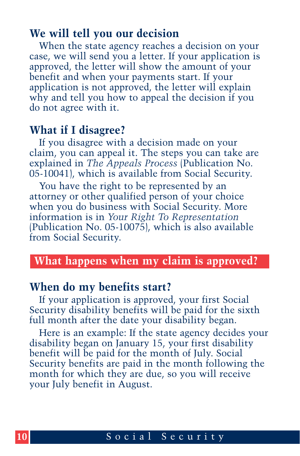#### **We will tell you our decision**

When the state agency reaches a decision on your case, we will send you a letter. If your application is approved, the letter will show the amount of your benefit and when your payments start. If your application is not approved, the letter will explain why and tell you how to appeal the decision if you do not agree with it.

#### **What if I disagree?**

If you disagree with a decision made on your claim, you can appeal it. The steps you can take are explained in *The Appeals Process* (Publication No. [05-10041\), which is available from Social Security.](http://www.socialsecurity.gov/pubs/10041.html)

You have the right to be represented by an attorney or other qualified person of your choice when you do business with Social Security. More information is in *Your Right To Representation* [\(Publication No. 05-10075\), which is also availab](http://www.socialsecurity.gov/pubs/10075.html)le from Social Security.

#### **What happens when my claim is approved?**

#### **When do my benefits start?**

If your application is approved, your first Social Security disability benefits will be paid for the sixth full month after the date your disability began.

Here is an example: If the state agency decides your disability began on January 15, your first disability benefit will be paid for the month of July. Social Security benefits are paid in the month following the month for which they are due, so you will receive your July benefit in August.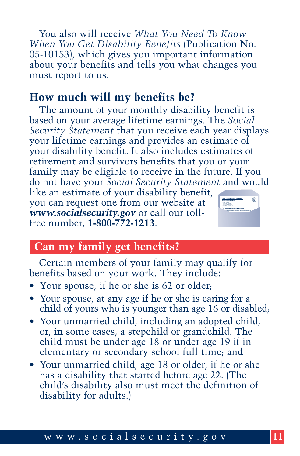You also will receive *What You Need To Know When You Get Disability Benefits* (Publication No. [05-10153\), which gives you important information](http://www.socialsecurity.gov/pubs/10153.html) about your benefits and tells you what changes you must report to us.

#### **How much will my benefits be?**

The amount of your monthly disability benefit is based on your average lifetime earnings. The *Social Security Statement* that you receive each year displays your lifetime earnings and provides an estimate of your disability benefit. It also includes estimates of retirement and survivors benefits that you or your family may be eligible to receive in the future. If you do not have your *Social Security Statement* and would

like an estimate of your disability benefit, you can request one from our website at *<www.socialsecurity.gov>* or call our tollfree number, **1-800-772-1213**.



#### **Can my family get benefits?**

Certain members of your family may qualify for benefits based on your work. They include:

- Your spouse, if he or she is 62 or older;
- Your spouse, at any age if he or she is caring for a child of yours who is younger than age 16 or disabled;
- Your unmarried child, including an adopted child, or, in some cases, a stepchild or grandchild. The child must be under age 18 or under age 19 if in elementary or secondary school full time; and
- Your unmarried child, age 18 or older, if he or she has a disability that started before age 22. (The child's disability also must meet the definition of disability for adults.)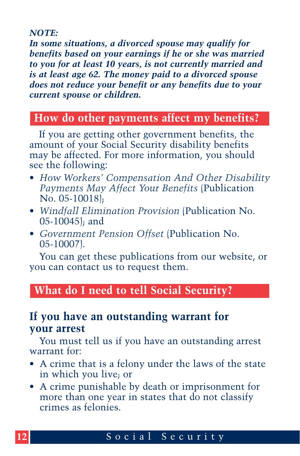#### *NOTE:*

*In some situations, a divorced spouse may qualify for benefits based on your earnings if he or she was married to you for at least 10 years, is not currently married and is at least age 62. The money paid to a divorced spouse does not reduce your benefit or any benefits due to your current spouse or children.*

## **How do other payments affect my benefits?**

If you are getting other government benefits, the amount of your Social Security disability benefits may be affected. For more information, you should see the following:

- *[How Workers' Compensation And Other Disability](http://www.socialsecurity.gov/pubs/10018.html) Payments May Affect Your Benefits* (Publication No. 05-10018);
- *[Windfall Elimination Provision](http://www.socialsecurity.gov/pubs/10045.html)* (Publication No. 05-10045); and
- *[Government Pension Offset](http://www.socialsecurity.gov/pubs/10007.html)* (Publication No. 05-10007).

You can get these publications from our website, or you can contact us to request them.

#### **What do I need to tell Social Security?**

#### **If you have an outstanding warrant for your arrest**

You must tell us if you have an outstanding arrest warrant for:

- A crime that is a felony under the laws of the state in which you live; or
- A crime punishable by death or imprisonment for more than one year in states that do not classify crimes as felonies.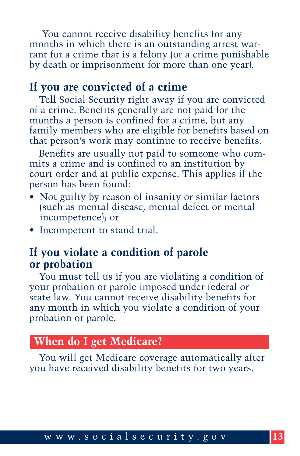You cannot receive disability benefits for any months in which there is an outstanding arrest warrant for a crime that is a felony (or a crime punishable by death or imprisonment for more than one year).

#### **If you are convicted of a crime**

Tell Social Security right away if you are convicted of a crime. Benefits generally are not paid for the months a person is confined for a crime, but any family members who are eligible for benefits based on that person's work may continue to receive benefits.

Benefits are usually not paid to someone who commits a crime and is confined to an institution by court order and at public expense. This applies if the person has been found:

- Not guilty by reason of insanity or similar factors (such as mental disease, mental defect or mental incompetence); or
- Incompetent to stand trial.

#### **If you violate a condition of parole or probation**

You must tell us if you are violating a condition of your probation or parole imposed under federal or state law. You cannot receive disability benefits for any month in which you violate a condition of your probation or parole.

#### **When do I get Medicare?**

You will get Medicare coverage automatically after you have received disability benefits for two years.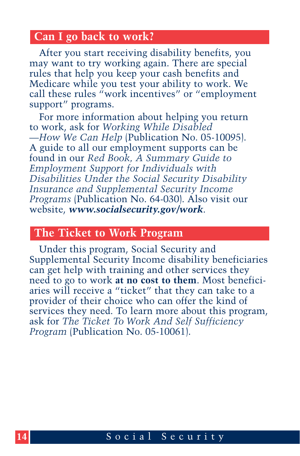#### **Can I go back to work?**

After you start receiving disability benefits, you may want to try working again. There are special rules that help you keep your cash benefits and Medicare while you test your ability to work. We call these rules "work incentives" or "employment support" programs.

For more information about helping you return to work, ask for *Working While Disabled —How We Can Help* [\(Publication No. 05-10095\).](http://www.socialsecurity.gov/pubs/10095.html)  A guide to all our employment supports can be found in our *Red Book, A Summary Guide to Employment Support for Individuals with [Disabilities Under the Social Security Disability](www.socialsecurity.gov/redbook/redbook.htm) Insurance and Supplemental Security Income Programs* (Publication No. 64-030). Also visit our website, *<www.socialsecurity.gov/work>*.

#### **The Ticket to Work Program**

Under this program, Social Security and Supplemental Security Income disability beneficiaries can get help with training and other services they need to go to work **at no cost to them**. Most beneficiaries will receive a "ticket" that they can take to a provider of their choice who can offer the kind of services they need. To learn more about this program, ask for *[The Ticket To Work And Self Sufficiency](http://www.socialsecurity.gov/pubs/10061.html) Program* (Publication No. 05-10061).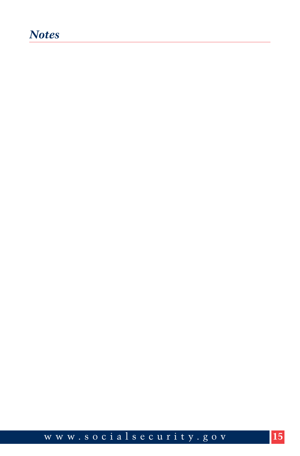## *Notes*

<www.socialsecurity.gov> **15**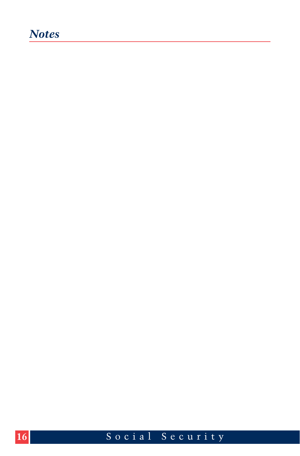## *Notes*

Social Security

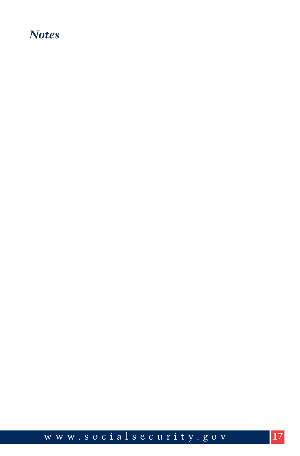## *Notes*

<www.socialsecurity.gov> **17**